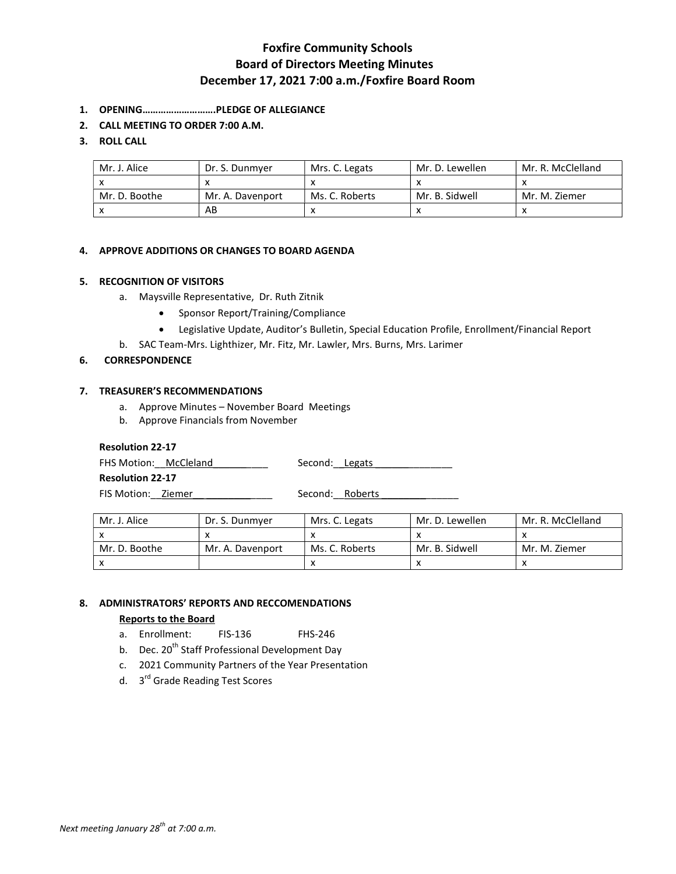## Foxfire Community Schools Board of Directors Meeting Minutes December 17, 2021 7:00 a.m./Foxfire Board Room

- 1. OPENING……………………….PLEDGE OF ALLEGIANCE
- 2. CALL MEETING TO ORDER 7:00 A.M.

## 3. ROLL CALL

| Mr. J. Alice  | Dr. S. Dunmyer   | Mrs. C. Legats | Mr. D. Lewellen | Mr. R. McClelland |
|---------------|------------------|----------------|-----------------|-------------------|
|               |                  |                |                 |                   |
| Mr. D. Boothe | Mr. A. Davenport | Ms. C. Roberts | Mr. B. Sidwell  | Mr. M. Ziemer     |
|               | AB               |                |                 |                   |

### 4. APPROVE ADDITIONS OR CHANGES TO BOARD AGENDA

### 5. RECOGNITION OF VISITORS

- a. Maysville Representative, Dr. Ruth Zitnik
	- Sponsor Report/Training/Compliance
	- Legislative Update, Auditor's Bulletin, Special Education Profile, Enrollment/Financial Report
- b. SAC Team-Mrs. Lighthizer, Mr. Fitz, Mr. Lawler, Mrs. Burns, Mrs. Larimer

## 6. CORRESPONDENCE

### 7. TREASURER'S RECOMMENDATIONS

- a. Approve Minutes November Board Meetings
- b. Approve Financials from November

### Resolution 22-17

FHS Motion: McCleland Second: Legats

Resolution 22-17

FIS Motion: Ziemer \_\_\_\_\_\_\_\_\_\_\_\_\_\_ Second: Roberts \_\_\_\_\_\_\_\_\_\_\_\_\_\_\_\_\_\_\_\_\_\_\_\_\_\_\_\_\_\_

| Mr. J. Alice  | Dr. S. Dunmver   | Mrs. C. Legats | Mr. D. Lewellen | Mr. R. McClelland |
|---------------|------------------|----------------|-----------------|-------------------|
|               |                  |                |                 |                   |
| Mr. D. Boothe | Mr. A. Davenport | Ms. C. Roberts | Mr. B. Sidwell  | Mr. M. Ziemer     |
|               |                  |                |                 |                   |

### 8. ADMINISTRATORS' REPORTS AND RECCOMENDATIONS

### Reports to the Board

- a. Enrollment: FIS-136 FHS-246
- b. Dec. 20<sup>th</sup> Staff Professional Development Day
- c. 2021 Community Partners of the Year Presentation
- d. 3<sup>rd</sup> Grade Reading Test Scores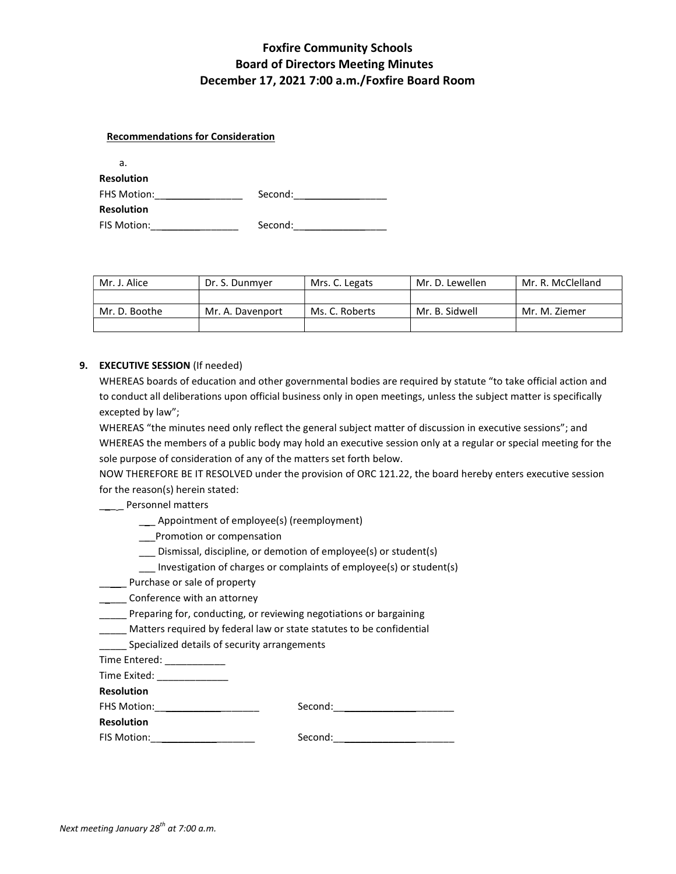# Foxfire Community Schools Board of Directors Meeting Minutes December 17, 2021 7:00 a.m./Foxfire Board Room

#### Recommendations for Consideration

| а.                 |         |
|--------------------|---------|
| <b>Resolution</b>  |         |
| <b>FHS Motion:</b> | Second: |
| <b>Resolution</b>  |         |
| FIS Motion:        | Second: |

| Mr. J. Alice  | Dr. S. Dunmver   | Mrs. C. Legats | Mr. D. Lewellen | Mr. R. McClelland |
|---------------|------------------|----------------|-----------------|-------------------|
|               |                  |                |                 |                   |
| Mr. D. Boothe | Mr. A. Davenport | Ms. C. Roberts | Mr. B. Sidwell  | Mr. M. Ziemer     |
|               |                  |                |                 |                   |

#### 9. EXECUTIVE SESSION (If needed)

WHEREAS boards of education and other governmental bodies are required by statute "to take official action and to conduct all deliberations upon official business only in open meetings, unless the subject matter is specifically excepted by law";

WHEREAS "the minutes need only reflect the general subject matter of discussion in executive sessions"; and WHEREAS the members of a public body may hold an executive session only at a regular or special meeting for the sole purpose of consideration of any of the matters set forth below.

NOW THEREFORE BE IT RESOLVED under the provision of ORC 121.22, the board hereby enters executive session for the reason(s) herein stated:

## \_\_\_\_ Personnel matters

- \_\_\_ Appointment of employee(s) (reemployment)
- \_\_\_Promotion or compensation
- \_\_\_ Dismissal, discipline, or demotion of employee(s) or student(s)
- Investigation of charges or complaints of employee(s) or student(s)
- \_\_\_\_\_ Purchase or sale of property
- \_\_\_\_\_\_ Conference with an attorney
- Preparing for, conducting, or reviewing negotiations or bargaining
- \_\_\_\_\_ Matters required by federal law or state statutes to be confidential
- Specialized details of security arrangements

Time Entered: \_\_\_\_\_\_\_\_\_\_\_\_\_

Time Exited:

Resolution

Resolution

FHS Motion: example and the Second:

| FIS Motion: | Second: |
|-------------|---------|
|             |         |